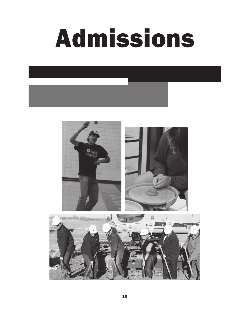

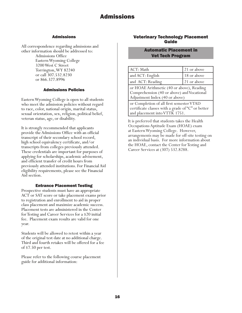## Admissions

All correspondence regarding admissions and other information should be addressed to: Admissions Office Eastern Wyoming College 3200 West C Street Torrington, WY 82240 or call 307.532.8230 or 866.327.8996

# Admissions Policies

Eastern Wyoming College is open to all students who meet the admission policies without regard to race, color, national origin, marital status, sexual orientation, sex, religion, political belief, veteran status, age, or disability.

It is strongly recommended that applicants provide the Admissions Office with an official transcript of their secondary school record, high school equivalency certificate, and/or transcripts from colleges previously attended. These credentials are important for purposes of applying for scholarships, academic advisement, and efficient transfer of credit hours from previously attended institutions. For Financial Aid eligibility requirements, please see the Financial Aid section.

# Entrance Placement Testing

Prospective students must have an appropriate ACT or SAT score or take placement exams prior to registration and enrollment to aid in proper class placement and maximize academic success. Placement tests are administered in the Center for Testing and Career Services for a \$20 initial fee. Placement exam results are valid for one year.

Students will be allowed to retest within a year of the original test date at no additional charge. Third and fourth retakes will be offered for a fee of \$7.50 per test.

Please refer to the following course placement guide for additional information:

# Veterinary Technology Placement Guide

# Automatic Placement in Vet Tech Program

| ACT: Math                                                                                                                      | 21 or above |  |  |
|--------------------------------------------------------------------------------------------------------------------------------|-------------|--|--|
| and ACT: English                                                                                                               | 18 or above |  |  |
| and ACT: Reading                                                                                                               | 21 or above |  |  |
| or HOAE Arithmetic (40 or above), Reading<br>Comprehension (40 or above) and Vocational<br>Adjustment Index (40 or above)      |             |  |  |
| or Completion of all first semester VTAD<br>certificate classes with a grade of "C" or better<br>and placement into VTTK 1751. |             |  |  |

It is preferred that students takes the Health Occupations Aptitude Exam (HOAE) exam at Eastern Wyoming College. However, arrangements may be made for off-site testing on an individual basis. For more information about the HOAE, contact the Center for Testing and Career Services at (307) 532.8288.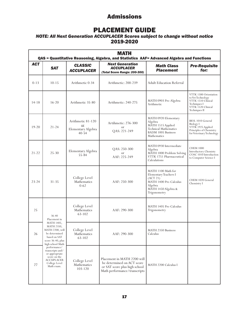# PLACEMENT GUIDE

# *NOTE: All Next Generation ACCUPLACER Scores subject to change without notice* 2019-2020

| <b>MATH</b><br>QAS = Quantitative Reasoning, Algebra, and Statistics AAF= Advanced Algebra and Functions |                                                                                                                       |                                                                                                                                                             |                                                                                                                            |                                                                                                                                     |                                                                                                             |  |  |
|----------------------------------------------------------------------------------------------------------|-----------------------------------------------------------------------------------------------------------------------|-------------------------------------------------------------------------------------------------------------------------------------------------------------|----------------------------------------------------------------------------------------------------------------------------|-------------------------------------------------------------------------------------------------------------------------------------|-------------------------------------------------------------------------------------------------------------|--|--|
| <b>ACT</b>                                                                                               | <b>SAT</b>                                                                                                            | <b>Next Generation</b><br><b>CLASSIC</b><br><b>Math Class</b><br><b>ACCUPLACER</b><br><b>Placement</b><br><b>ACCUPLACER</b><br>(Total Score Range: 200-300) |                                                                                                                            | <b>Pre-Requisite</b><br>for:                                                                                                        |                                                                                                             |  |  |
| $0 - 13$                                                                                                 | $10 - 15$                                                                                                             | Arithmetic 0-34                                                                                                                                             | Arithmetic: 200-239                                                                                                        | <b>Adult Education Referral</b>                                                                                                     |                                                                                                             |  |  |
| $14 - 18$                                                                                                | MATH 0903 Pre-Algebra<br>$16 - 20$<br>Arithmetic 35-80<br>Arithmetic: 240-275<br>Arithmetic                           |                                                                                                                                                             | VTTK 1500 Orientation<br>to Vet Technology<br>VTTK 1510 Clinical<br>Techniques I<br>VTTK 1520 Clinical<br>Techniques II    |                                                                                                                                     |                                                                                                             |  |  |
| $19 - 20$                                                                                                | $21 - 24$                                                                                                             | Arithmetic 81-120<br><sub>or</sub><br>Elementary Algebra<br>$40 - 54$                                                                                       | Artihmetic: 276-300<br><b>or</b><br>QAS: 221-249                                                                           | MATH 0920 Elementary<br>Algebra<br>MATH 1515 Applied<br><b>Technical Mathematics</b><br><b>BADM 1005 Business</b><br>Mathematics    | BIOL 1010 General<br>Biology I<br>VTTK 1925 Applied<br>Principles of Chemistry<br>for Veterinary Technology |  |  |
| $21 - 22$                                                                                                | $25 - 30$                                                                                                             | Elementary Algebra<br>$55 - 84$                                                                                                                             | QAS: 250-300<br>or<br>AAF: 225-249                                                                                         | MATH 0930 Intermediate<br>Algebra<br>MATH 1000 Problem Solving<br>VTTK 1751 Pharmaceutical<br>Calculations                          | <b>CHEM 1000</b><br><b>Introductory Chemisty</b><br>COSC 1010 Introduction<br>to Computer Science I         |  |  |
| $23 - 24$                                                                                                | $31 - 35$                                                                                                             | College Level<br>Mathematics<br>$0 - 62$                                                                                                                    | AAF: 250-300                                                                                                               | MATH 1100 Math for<br>Elementary Teachers I<br>(ACT 21)<br>MATH 1400 Pre-Calculus<br>Algebra<br>MÄTH 1450 Algebra &<br>Trigonometry | CHEM 1020 General<br>Chemistry I                                                                            |  |  |
| 25                                                                                                       | $36 - 40$<br>Placement in                                                                                             | College Level<br>Mathematics<br>63-102                                                                                                                      | AAF: 290-300                                                                                                               | MATH 1405 Pre-Calculus<br>Trigonometry                                                                                              |                                                                                                             |  |  |
| 26                                                                                                       | MATH 1405,<br>MATH 2350,<br>MATH 2200, will<br>be determined<br>based on SAT<br>score 36-40, plus<br>high school Math | College Level<br>Mathematics<br>63-102                                                                                                                      | AAF: 290-300                                                                                                               | <b>MATH 2350 Business</b><br>Calculus                                                                                               |                                                                                                             |  |  |
| 27                                                                                                       | performance/<br>transcripts and/<br>or appropriate<br>score on the<br>ACCUPLACER<br>College Level<br>Math exam.       | College Level<br>Mathematics<br>103-120                                                                                                                     | Placement in MATH 2200 will<br>be determined on ACT score<br>or SAT score plus high school<br>Math performance/transcripts | MATH 2200 Calculus I                                                                                                                |                                                                                                             |  |  |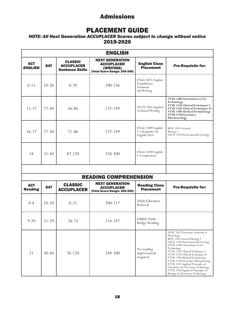# PLACEMENT GUIDE

# *NOTE: All Next Generation ACCUPLACER Scores subject to change without notice* 2019-2020

| <b>ENGLISH</b>               |            |                                                               |                                                                                          |                                                             |                                                                                                                                                                                            |  |
|------------------------------|------------|---------------------------------------------------------------|------------------------------------------------------------------------------------------|-------------------------------------------------------------|--------------------------------------------------------------------------------------------------------------------------------------------------------------------------------------------|--|
| <b>ACT</b><br><b>ENGLISH</b> | <b>SAT</b> | <b>CLASSIC</b><br><b>ACCUPLACER</b><br><b>Sentence Skills</b> | <b>NEXT GENERATION</b><br><b>ACCUPLACER</b><br>(WRITING)<br>(Total Score Range: 200-300) | <b>English Class</b><br><b>Placement</b>                    | <b>Pre-Requisite for:</b>                                                                                                                                                                  |  |
| $0 - 15$                     | $10 - 26$  | $0 - 70$                                                      | 200-236                                                                                  | ENGL 0625 English<br>Foundations:<br>Grammar<br>and Writing |                                                                                                                                                                                            |  |
| $15 - 17$                    | $27 - 40$  | 56-86                                                         | 237-249                                                                                  | TECH 1005 Applied<br>Technical Writing                      | VTTK 1500 Orientation to Vet<br>Technology<br>VTTK 1510 Clinical Techniques I<br>VTTK 1520 Clinical Techniques II<br>VTTK 1700 Medical Terminology<br>VTTK 1750 Veterinary<br>Pharmacology |  |
| $16 - 17$                    | $27 - 30$  | 71-86                                                         | 237-249                                                                                  | ENGL 1009 English<br>Co-Requisite for<br>English 1010       | <b>BIOL 1010 General</b><br>Biology I<br>GEOL 1470 Environmental Geology                                                                                                                   |  |
| 18                           | $31 - 40$  | 87-120                                                        | 250-300                                                                                  | ENGL 1010 English<br>I: Composition                         |                                                                                                                                                                                            |  |
|                              |            |                                                               |                                                                                          |                                                             |                                                                                                                                                                                            |  |

# READING COMPREHENSION

| <b>ACT</b><br><b>Reading</b> | <b>SAT</b> | <b>CLASSIC</b><br><b>ACCUPLACER</b> | <b>NEXT GENERATION</b><br><b>ACCUPLACER</b><br>(Total Score Range: 200-300) | <b>Reading Class</b><br><b>Placement</b>  | <b>Pre-Requisite for:</b>                                                                                                                                                                                                                                                                                                                                                                                                                                    |
|------------------------------|------------|-------------------------------------|-----------------------------------------------------------------------------|-------------------------------------------|--------------------------------------------------------------------------------------------------------------------------------------------------------------------------------------------------------------------------------------------------------------------------------------------------------------------------------------------------------------------------------------------------------------------------------------------------------------|
| $0 - 8$                      | $10-20$    | $0 - 25$                            | 200-217                                                                     | <b>Adult Education</b><br>Referral        |                                                                                                                                                                                                                                                                                                                                                                                                                                                              |
| $9 - 20$                     | $21 - 29$  | 26-75                               | 218-247                                                                     | <b>HMDV 0500</b><br><b>Bridge Reading</b> |                                                                                                                                                                                                                                                                                                                                                                                                                                                              |
| 21                           | $30-40$    | $76 - 120$                          | 248-300                                                                     | No reading<br>improvement<br>required     | ANSC 2615 Veterinary Anatomy &<br>Physiology<br>BIOL 1010 General Biology I<br>GEOL 1470 Environmental Geology<br>VTTK 1500 Orientation to Vet<br>Technology<br>VTTK 1510 Clinical Techniques I<br>VTTK 1520 Clinical Techniques II<br>VTTK 1700 Medical Terminology<br>VTTK 1750 Veterinary Pharmacology<br>VTTK 1925 Applied Principles of<br>Chemistry for Veterinary Technology<br>VTTK 1950 Appliced Principles of<br>Biology for Veterinary Technology |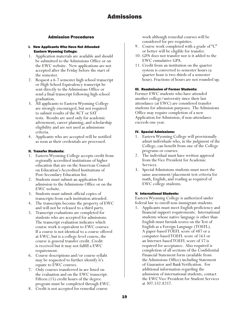## Admission Procedures

#### I. New Applicants Who Have Not Attended Eastern Wyoming College:

- 1. Application materials are available and should be submitted to the Admissions Office or on the EWC website. New applications are not accepted after the Friday before the start of the semester.
- 2. Request a 6-7 semester high school transcript or High School Equivalency transcript be sent directly to the Admissions Office or send a final transcript following high school graduation.
- 3. All applicants to Eastern Wyoming College are strongly encouraged, but not required to submit results of the ACT or SAT tests. Results are used only for academic advisement, career planning, and scholarship eligibility and are not used as admissions criteria.
- 4. Applicants who are accepted will be notified as soon as their credentials are processed.

### II. Transfer Students:

- 1. Eastern Wyoming College accepts credit from regionally accredited institutions of higher education that are on the American Council on Education's Accredited Institutions of Post-Secondary Education list.
- 2. Students must submit an application for admission to the Admissions Office or on the EWC website.
- 3. Students must submit official copies of transcripts from each institution attended.
- 4. The transcripts become the property of EWC and will not be released to a third party.
- 5. Transcript evaluations are completed for students who are accepted for admissions. The transcript evaluation indicates which course work is equivalent to EWC courses. If a course is not identical to a course offered at EWC, but is a college-level course, the course is general transfer credit. Credit is received but it may not fulfill a EWC requirement.
- 6. Course descriptions and/or course syllabi may be requested to further identify it's equate to EWC courses.
- 7. Only courses transferred in are listed on the evaluation and on the EWC transcript. Fifteen (15) credit hours of the degree program must be completed through EWC.
- 8. Credit is not accepted for remedial course

work although remedial courses will be considered for pre-requisites.

- 9. Course work completed with a grade of "C" or better will be eligible for transfer.
- 10. GPA does not transfer nor is it added to the EWC cumulative GPA.
- 11. Credit from an institution on the quarter system is converted to semester hours (a quarter hour is two-thirds of a semester hour). Fractions of hours are not rounded up.

#### III. Readmission of Former Students:

Former EWC students who have attended another college/university since their last attendance (at EWC) are considered transfer students for admission purposes. The Admissions Office may require completion of a new Application for Admission, if non-attendance exceeds one year.

#### IV. Special Admissions:

- 1. Eastern Wyoming College will provisionally admit individuals who, in the judgment of the College, can benefit from one of the College programs or courses.
- 2. The individual must have written approval from the Vice President for Academic Services.
- 3. Special Admissions students must meet the same assessment/placement test criteria for math, English, and reading as required of EWC college students.

### V. International Students:

Eastern Wyoming College is authorized under federal law to enroll non-immigrant students.

1. Applicants must meet English proficiency and financial support requirements. International students whose native language is other than English must furnish scores on the Test of English as a Foreign Language (TOEFL). A paper-based TOEFL score of 487 or a computer-based TOEFL score of 163 or an Internet-based TOEFL score of 57 is required for acceptance. Also required is completion of all sections of the Confidential Financial Statement form (available from the Admissions Office) including Statement of Guarantor and Bank Verification. For additional information regarding the admission of international students, contact the EWC Vice President for Student Services at 307.532.8257.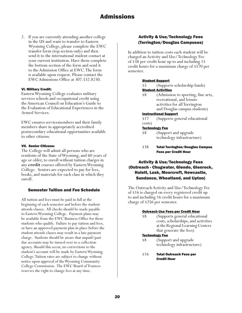2. If you are currently attending another college in the US and want to transfer to Eastern Wyoming College, please complete the EWC transfer form (top section only) and then send it to the international student contact at your current institution. Have them complete the bottom section of the form and send it to the Admission Office at EWC. The form is available upon request. Please contact the EWC Admissions Office at 307.532.8230.

### VI. Military Credit:

Eastern Wyoming College evaluates military services schools and occupational credit using the American Council on Education's Guide to the Evaluation of Educational Experiences in the Armed Services.

EWC ensures servicemembers and their family members share in appropriately accredited postsecondary educational opportunities available to other citizens.

#### VII. Senior Citizens:

The College will admit all persons who are residents of the State of Wyoming, and 60 years of age or older, to enroll without tuition charges in any **credit** courses offered by Eastern Wyoming College. Seniors are expected to pay for fees, books, and materials for each class in which they enroll.

## Semester Tuition and Fee Schedule

All tuition and fees must be paid in full at the beginning of each semester and before the student attends classes. All checks should be made payable to Eastern Wyoming College. Payment plans may be available from the EWC Business Office for those students who qualify. Failure to pay tuition and fees, or have an approved payment plan in place before the student attends classes may result in a late payment charge. Students should be aware that unpaid/past due accounts may be turned over to a collection agency. Should this occur, no corrections to the student's account will be made by Eastern Wyoming College. Tuition rates are subject to change without notice upon approval of the Wyoming Community College Commission. The EWC Board of Trustees reserves the right to change fees at any time.

## Activity & Use/Technology Fees (Torrington/Douglas Campuses)

In addition to tuition costs each student will be charged an Activity and Use/Technology Fee of \$38 per credit hour up to and including 15 credit hours for a maximum charge of \$570 per semester.

#### Student Support

- \$5 (Supports scholarship funds)
- **Student Activities**
- \$8 (Admission to sporting, fine arts, recreational, and leisure activities for all Torrington and Douglas campus students)

#### Instructional Support

 \$17 (Supports general educational costs)

#### Technology Fee

- \$8 (Support and upgrade technology infrastructure)
- \$38 Total Torrington/Douglas Campus Fees per Credit Hour

# Activity & Use/Technology Fees (Outreach - Chugwater, Glendo, Glenrock, Hulett, Lusk, Moorcroft, Newcastle, Sundance, Wheatland, and Upton)

The Outreach Activity and Use/Technology Fee of \$16 is charged on every registered credit up to and including 16 credit hours for a maximum charge of \$256 per semester.

#### Outreach Use Fees per Credit Hour

\$8 (Supports general educational costs, scholarships, and activities at the Regional Learning Centers that generate the fees)

#### Technology Fee

- \$8 (Support and upgrade technology infrastructure)
- \$16 Total Outreach Fees per Credit Hour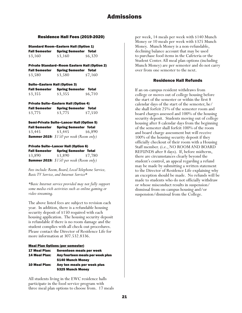# Residence Hall Fees (2019-2020)

Standard Room–Eastern Hall (Option 1) Fall Semester Spring Semester Total

| . <b>.</b> sen.este. | $-1.11$ $-1.11$ | -----   |
|----------------------|-----------------|---------|
| \$3,160              | \$3,160         | \$6,320 |
|                      |                 |         |

Private Standard–Room Eastern Hall (Option 2) Fall Semester Spring Semester Total \$3,580 \$3,580 \$7,160

| <b>Suite-Eastern Hall (Option 3)</b> |                              |         |  |  |
|--------------------------------------|------------------------------|---------|--|--|
| <b>Fall Semester</b>                 | <b>Spring Semester Total</b> |         |  |  |
| \$3,355                              | \$3,355                      | \$6,710 |  |  |

Private Suite–Eastern Hall (Option 4) Fall Semester Spring Semester Total \$3,775 \$3,775 \$7,550

Semi-Private Suite–Lancer Hall (Option 5) Fall Semester Spring Semester Total \$3,445 \$3,445 \$6,890 *Summer 2019: \$150 per week (Room only)*

## Private Suite–Lancer Hall (Option 6)

Fall Semester Spring Semester Total \$3,890 \$3,890 \$7,780 *Summer 2019: \$150 per week (Room only)*

*Fees include: Room, Board, Local Telephone Service, Basic TV Service, and Internet Service\**

*\*Basic Internet service provided may not fully support some media-rich activities such as online gaming or video streaming.*

The above listed fees are subject to revision each year. In addition, there is a refundable housing security deposit of \$150 required with each housing application. The housing security deposit is refundable if there is no room damage and the student complies with all check-out procedures. Please contact the Director of Residence Life for more information at 307.532.8336.

## Meal Plan Options (per semester)

| <b>17 Meal Plan:</b> | Seventeen meals per week         |
|----------------------|----------------------------------|
| <b>14 Meal Plan:</b> | Any fourteen meals per week plus |
|                      | \$140 Munch Money                |
| <b>10 Meal Plan:</b> | Any ten meals per week plus      |
|                      | \$325 Munch Money                |

 All students living in the EWC residence halls participate in the food service program with three meal plan options to choose from. 17 meals

per week, 14 meals per week with \$140 Munch Money or 10 meals per week with \$325 Munch Money. Munch Money is a non-refundable, declining balance account that may be used to purchase food items in the Cafeteria or the Student Center. All meal plan options (including Munch Money) are per semester and do not carry over from one semester to the next.

# Residence Hall Refunds

If an on-campus resident withdraws from college or moves out of college housing before the start of the semester or within the first 8 calendar days of the start of the semester, he/ she shall forfeit 25% of the semester room and board charges assessed and 100% of the housing security deposit. Students moving out of college housing after 8 calendar days from the beginning of the semester shall forfeit 100% of the room and board charge assessment but will receive 100% of the housing security deposit if they officially checkout of their room with a Housing Staff member. (i.e., NO ROOM AND BOARD REFUNDS after 8 days). If, before midterm, there are circumstances clearly beyond the student's control, an appeal regarding a refund may be made by submitting a written statement to the Director of Residence Life explaining why an exception should be made. No refunds will be made to students who do not officially withdraw or whose misconduct results in suspension/ dismissal from on-campus housing and/or suspension/dismissal from the College.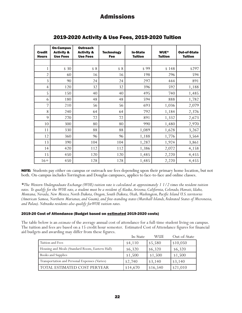| <b>Credit</b><br><b>Hours</b> | <b>On-Campus</b><br><b>Activity &amp;</b><br><b>Use Fees</b> | <b>Outreach</b><br><b>Activity &amp;</b><br><b>Use Fees</b> | <b>Technology</b><br><b>Fee</b> | <b>In-State</b><br><b>Tuition</b> | WUE*<br><b>Tuition</b> | <b>Out-of-State</b><br><b>Tuition</b> |
|-------------------------------|--------------------------------------------------------------|-------------------------------------------------------------|---------------------------------|-----------------------------------|------------------------|---------------------------------------|
|                               |                                                              |                                                             |                                 |                                   |                        |                                       |
|                               | \$30                                                         | \$8                                                         | \$8                             | \$99                              | \$148                  | \$297                                 |
| $\overline{2}$                | 60                                                           | 16                                                          | 16                              | 198                               | 296                    | 594                                   |
| 3                             | 90                                                           | 24                                                          | 24                              | 297                               | 444                    | 891                                   |
| $\overline{4}$                | 120                                                          | 32                                                          | 32                              | 396                               | 592                    | 1,188                                 |
| 5                             | 150                                                          | 40                                                          | 40                              | 495                               | 740                    | 1,485                                 |
| 6                             | 180                                                          | 48                                                          | 48                              | 594                               | 888                    | 1,782                                 |
| 7                             | 210                                                          | 56                                                          | 56                              | 693                               | 1,036                  | 2,079                                 |
| 8                             | 240                                                          | 64                                                          | 64                              | 792                               | 1,184                  | 2,376                                 |
| 9                             | 270                                                          | 72                                                          | 72                              | 891                               | 1,332                  | 2,673                                 |
| 10                            | 300                                                          | 80                                                          | 80                              | 990                               | 1,480                  | 2,970                                 |
| 11                            | 330                                                          | 88                                                          | 88                              | 1,089                             | 1,628                  | 3,267                                 |
| 12                            | 360                                                          | 96                                                          | 96                              | 1,188                             | 1,776                  | 3,564                                 |
| 13                            | 390                                                          | 104                                                         | 104                             | 1,287                             | 1,924                  | 3,861                                 |
| 14                            | 420                                                          | 112                                                         | 112                             | 1,386                             | 2,072                  | 4,158                                 |
| 15                            | 450                                                          | 120                                                         | 120                             | 1,485                             | 2,220                  | 4,455                                 |
| $16+$                         | 450                                                          | 128                                                         | 128                             | 1,485                             | 2,220                  | 4,455                                 |

# 2019-2020 Activity & Use Fees, 2019-2020 Tuition

NOTE: Students pay either on-campus or outreach use fees depending upon their primary home location, but not both. On-campus includes Torrington and Douglas campuses, applies to face-to-face and online classes.

*\*The Western Undergraduate Exchange (WUE) tuition rate is calculated at approximately 1 1/2 times the resident tuition rates. To qualify for the WUE rate, a student must be a resident of Alaska, Arizona, California, Colorado, Hawaii, Idaho, Montana, Nevada, New Mexico, North Dakota, Oregon, South Dakota, Utah, Washington, Pacific Island U.S. territories (American Samoa, Northern Marianas, and Guam), and free-standing states (Marshall Islands, Federated States of Micronesia, and Palau). Nebraska residents also qualify for WUE tuition rates.*

## 2019-20 Cost of Attendance (Budget based on estimated 2019-2020 costs)

The table below is an *estimate* of the average annual cost of attendance for a full-time student living on campus. The tuition and fees are based on a 15 credit hour semester. Estimated Cost of Attendance figures for financial aid budgets and awarding may differ from these figures.

|                                                 | In-State | <b>WUE</b>          | Out-of-State |
|-------------------------------------------------|----------|---------------------|--------------|
| Tuition and Fees                                | \$4,110  | \$5,580             | \$10,050     |
| Housing and Meals (Standard Room, Eastern Hall) | \$6,320  | \$6,320             | \$6,320      |
| Books and Supplies                              | \$1,500  | \$1,500             | \$1,500      |
| Transportation and Personal Expenses (Varies)   | \$2,740  | $\frac{1}{3}$ , 140 | \$3,140      |
| TOTAL ESTIMATED COST PERYEAR                    | \$14,670 | \$16,540            | \$21,010     |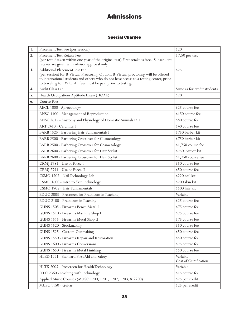# Special Charges

| 1. | Placement Test Fee (per session)                                                                                                                                                                                                                                                      | \$20                              |
|----|---------------------------------------------------------------------------------------------------------------------------------------------------------------------------------------------------------------------------------------------------------------------------------------|-----------------------------------|
| 2. | Placement Test Retake Fee<br>(per test if taken within one year of the original test) First retake is free. Subsequent<br>retakes are given with advisor approval only.                                                                                                               | \$7.50 per test                   |
| 3. | <b>Additional Placement Test Fee</b><br>(per session) for B-Virtual Proctoring Option. B-Virtual proctoring will be offered<br>to international students and others who do not have access to a testing center, prior<br>to traveling to EWC. All fees must be paid prior to testing. | \$25                              |
| 4. | Audit Class Fee                                                                                                                                                                                                                                                                       | Same as for credit students       |
| 5. | Health Occupations Aptitude Exam (HOAE)                                                                                                                                                                                                                                               | \$20                              |
| 6. | <b>Course Fees</b>                                                                                                                                                                                                                                                                    |                                   |
|    | AECL 1000 - Agroecology                                                                                                                                                                                                                                                               | \$25 course fee                   |
|    | ANSC 1100 - Management of Reproduction                                                                                                                                                                                                                                                | \$150 course fee                  |
|    | ANSC 2615 - Anatomy and Physiology of Domestic Animals I/II                                                                                                                                                                                                                           | \$80 course fee                   |
|    | ART 2410 - Ceramics I                                                                                                                                                                                                                                                                 | \$40 course fee                   |
|    | BARB 1525 - Barbering Hair Fundamentals I                                                                                                                                                                                                                                             | \$750 barber kit                  |
|    | BARB 2500 - Barbering Crossover for Cosmetology                                                                                                                                                                                                                                       | \$750 barber kit                  |
|    | BARB 2500 - Barbering Crossover for Cosmetology                                                                                                                                                                                                                                       | \$1,750 course fee                |
|    | BARB 2600 - Barbering Crossover for Hair Stylist                                                                                                                                                                                                                                      | \$750 barber kit                  |
|    | BARB 2600 - Barbering Crossover for Hair Stylist                                                                                                                                                                                                                                      | \$1,750 course fee                |
|    | CRMJ 2781 - Use of Force I                                                                                                                                                                                                                                                            | \$50 course fee                   |
|    | CRMJ 2791 - Use of Force II                                                                                                                                                                                                                                                           | \$50 course fee                   |
|    | CSMO 1505 - Nail Technology Lab                                                                                                                                                                                                                                                       | \$220 nail kit                    |
|    | CSMO 1600 - Intro to Skin Technology                                                                                                                                                                                                                                                  | \$200 skin kit                    |
|    | CSMO 1705 - Hair Fundamentals                                                                                                                                                                                                                                                         | \$500 hair kit                    |
|    | EDUC 2005 - Prescreen for Practicum in Teaching                                                                                                                                                                                                                                       | Variable                          |
|    | EDUC 2100 - Practicum in Teaching                                                                                                                                                                                                                                                     | \$25 course fee                   |
|    | GUNS 1505 - Firearms Bench Metal I                                                                                                                                                                                                                                                    | \$75 course fee                   |
|    | GUNS 1510 - Firearms Machine Shop I                                                                                                                                                                                                                                                   | \$75 course fee                   |
|    | GUNS 1515 - Firearms Metal Shop II                                                                                                                                                                                                                                                    | \$75 course fee                   |
|    | GUNS 1520 - Stockmaking                                                                                                                                                                                                                                                               | \$50 course fee                   |
|    | GUNS 1525 - Custom Gunmaking                                                                                                                                                                                                                                                          | \$50 course fee                   |
|    | GUNS 1550 - Firearms Repair and Restoration                                                                                                                                                                                                                                           | \$50 course fee                   |
|    | GUNS 1600 - Firearms Conversions                                                                                                                                                                                                                                                      | \$75 course fee                   |
|    | GUNS 1650 - Firearms Metal Finishing                                                                                                                                                                                                                                                  | \$50 course fee                   |
|    | HLED 1221 - Standard First Aid and Safety                                                                                                                                                                                                                                             | Variable<br>Cost of Certification |
|    | HLTK 2005 - Prescreen for Health Technology                                                                                                                                                                                                                                           | Variable                          |
|    | ITEC 2360 - Teaching with Technology                                                                                                                                                                                                                                                  | $\$15$ course fee                 |
|    | Applied Music Courses (MUSC 1200, 1201, 1202, 1203, & 2200)                                                                                                                                                                                                                           | \$25 per credit                   |
|    | MUSC 1150 - Guitar                                                                                                                                                                                                                                                                    | \$25 per credit                   |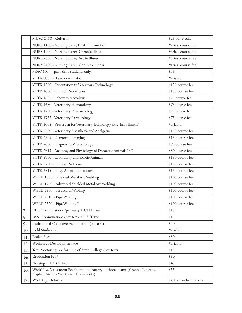|     | MUSC 2150 - Guitar II                                                                                             | \$25 per credit          |
|-----|-------------------------------------------------------------------------------------------------------------------|--------------------------|
|     | NURS 1100 - Nursing Care: Health Promotion                                                                        | Varies, course fee       |
|     | NURS 1200 - Nursing Care: Chronic Illness                                                                         | Varies, course fee       |
|     | NURS 2300 - Nursing Care: Acute Illness                                                                           | Varies, course fee       |
|     | NURS 2400 - Nursing Care: Complex Illness                                                                         | Varies, course fee       |
|     | PEAC 103_ (part-time students only)                                                                               | \$35                     |
|     | VTTK 0005 - Rabies Vaccination                                                                                    | Variable                 |
|     | VTTK 1500 - Orientation to Veterinary Technology                                                                  | \$150 course fee         |
|     | VTTK 1600 - Clinical Procedures                                                                                   | \$150 course fee         |
|     | VTTK 1625 - Laboratory Analysis                                                                                   | \$75 course fee          |
|     | VTTK 1630 - Veterinary Hematology                                                                                 | \$75 course fee          |
|     | VTTK 1750 - Veterinary Pharmacology                                                                               | \$75 course fee          |
|     | VTTK 1755 - Veterinary Parasitology                                                                               | \$75 course fee          |
|     | VTTK 2005 - Prescreen for Veterinary Technology (Pre-Enrollment)                                                  | Variable                 |
|     | VTTK 2500 - Veterinary Anesthesia and Analgesia                                                                   | \$150 course fee         |
|     | VTTK 2505 - Diagnostic Imaging                                                                                    | \$150 course fee         |
|     | VTTK 2600 - Diagnostic Microbiology                                                                               | \$75 course fee          |
|     | VTTK 2615 - Anatomy and Physiology of Domestic Animals I/II                                                       | \$80 course fee          |
|     | VTTK 2700 - Laboratory and Exotic Animals                                                                         | \$150 course fee         |
|     | VTTK 2750 - Clinical Problems                                                                                     | \$150 course fee         |
|     | VTTK 2815 - Large Animal Techniques                                                                               | \$150 course fee         |
|     | WELD 1755 - Shielded Metal Arc Welding                                                                            | \$100 course fee         |
|     | WELD 1760 - Advanced Shielded Metal Arc Welding                                                                   | \$100 course fee         |
|     | WELD 2500 - Structural Welding                                                                                    | \$100 course fee         |
|     | WELD 2510 - Pipe Welding I                                                                                        | \$100 course fee         |
|     | WELD 2520 - Pipe Welding II                                                                                       | \$100 course fee         |
| 7.  | ${\rm CLEP}$ Examinations (per test) + ${\rm CLEP}$ Fee                                                           | \$15                     |
| 8.  | DSST Examinations (per test) + DSST Fee                                                                           | \$15                     |
| 9.  | Institutional Challenge Examination (per test)                                                                    | \$20                     |
| 10. | Field Studies Fee                                                                                                 | Variable                 |
| 11. | Rodeo Fee                                                                                                         | \$30                     |
| 12. | Workforce Development Fee                                                                                         | Variable                 |
| 13. | Test Proctoring Fee for Out-of-State College (per test)                                                           | \$15                     |
| 14. | Graduation Fee*                                                                                                   | \$50                     |
| 15. | Nursing - TEAS-V Exam                                                                                             | \$45                     |
| 16. | WorkKeys Assessment Fee/complete battery of three exams (Graphic Literacy,<br>Applied Math & Workplace Documents) | \$55                     |
| 17. | WorkKeys Retakes                                                                                                  | \$20 per individual exam |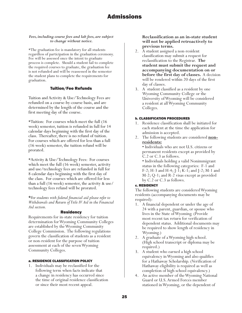### *Fees, including course fees and lab fees, are subject to change without notice.*

\*The graduation fee is mandatory for all students regardless of participation in the graduation ceremony. Fee will be assessed once the intent to graduate process is complete. Should a student fail to complete the required courses to graduate, the graduation fee is not refunded and will be reassessed in the semester the student plans to complete the requirements for graduation.

## Tuition/Fee Refunds

Tuition and Activity & Use/Technology Fees are refunded on a course-by-course basis, and are determined by the length of the course and the first meeting day of the course.

\*Tuition: For courses which meet the full (16 week) semester, tuition is refunded in full for 14 calendar days beginning with the first day of the class. Thereafter, there is no refund of tuition. For courses which are offered for less than a full (16 week) semester, the tuition refund will be prorated.

\*Activity & Use/Technology Fees: For courses which meet the full (16 week) semester, activity and use/technology fees are refunded in full for 8 calendar days beginning with the first day of the class. For courses which are offered for less than a full (16 week) semester, the activity & use/ technology fees refund will be prorated.

**\****For students with federal financial aid please refer to Withdrawals and Return of Title IV Aid in the Financial Aid section.*

### Residency

Requirements for in-state residency for tuition determination for Wyoming Community Colleges are established by the Wyoming Community College Commission. The following regulations govern the classification of students as a resident or non-resident for the purpose of tuition assessment at each of the seven Wyoming Community Colleges.

### a. RESIDENCE CLASSIFICATION POLICY

1. Individuals may be reclassified for the following term when facts indicate that a change in residency has occurred since the time of original residence classification or since their most recent appeal.

## **Reclassification as an in-state student will not be applied retroactively to previous terms.**

- 2. A student assigned a non-resident classification may submit a request for reclassification to the Registrar. **The student must submit the request and accompanying documentation on or before the first day of classes.** A decision will be rendered within 20 days of the first day of classes.
- 3. A student classified as a resident by one Wyoming Community College or the University of Wyoming will be considered a resident at all Wyoming Community Colleges.

### b. CLASSIFICATION PROCEDURES

- 1. Residence classification shall be initiated for each student at the time the application for admission is accepted.
- 2. The following students are considered **nonresidents:**

• Individuals who are not U.S. citizens or permanent residents except as provided by C.2 or C.3 as follows.

• Individuals holding a valid Nonimmigrant status in the following categories: F-1 and F-2; H-3 and H-4; J-1; K-1; and J-2; M-1 and M-2; Q-1; and R-2 visas except as provided by C.2 or C.3 as follows.

## c. RESIDENCY

The following students are considered Wyoming residents (accompanying documents may be required):

- 1. A financial dependent or under the age of 24 with a parent, guardian, or spouse who lives in the State of Wyoming. (Provide most recent tax return for verification of dependent status. Additional documents may be required to show length of residency in Wyoming.)
- 2. A graduate of a Wyoming high school. (High school transcript or diploma may be required.)
- 3. A student who earned a high school equivalency in Wyoming and also qualifies for a Hathaway Scholarship. (Verification of Hathaway eligibility is required as well as completion of high school equivalency.)
- 4. An active member of the Wyoming National Guard or U.S. Armed Forces member stationed in Wyoming, or the dependent of